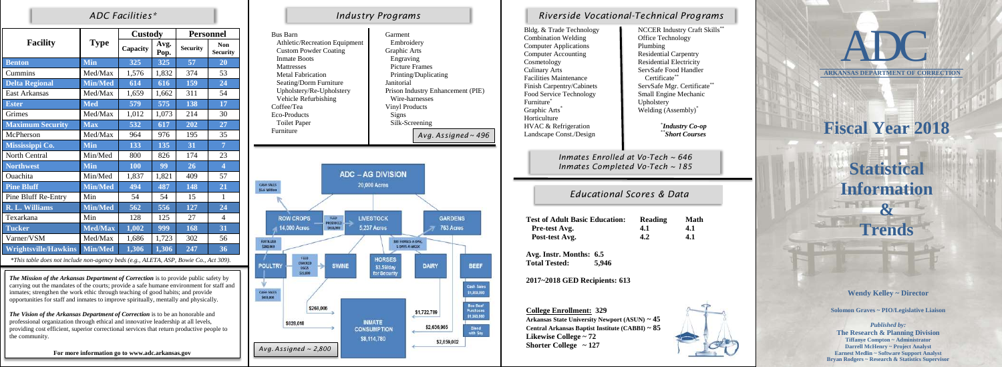|                             |                | <b>Custody</b> |              | <b>Personnel</b> |                               |  |
|-----------------------------|----------------|----------------|--------------|------------------|-------------------------------|--|
| <b>Facility</b>             | <b>Type</b>    | Capacity       | Avg.<br>Pop. | <b>Security</b>  | <b>Non</b><br><b>Security</b> |  |
| <b>Benton</b>               | <b>Min</b>     | 325            | 325          | 57               | 20                            |  |
| Cummins                     | Med/Max        | 1,576          | 1,832        | 374              | 53                            |  |
| <b>Delta Regional</b>       | Min/Med        | 614            | 616          | 159              | 24                            |  |
| <b>East Arkansas</b>        | Med/Max        | 1,659          | 1,662        | 311              | 54                            |  |
| <b>Ester</b>                | <b>Med</b>     | 579            | 575          | 138              | 17                            |  |
| Grimes                      | Med/Max        | 1,012          | 1,073        | 214              | 30                            |  |
| <b>Maximum Security</b>     | <b>Max</b>     | 532            | 617          | 202              | 27                            |  |
| McPherson                   | Med/Max        | 964<br>976     |              | 195              | 35                            |  |
| Mississippi Co.             | Min            | 133            | 135          | 31               | $\overline{7}$                |  |
| North Central               | Min/Med        | 800            | 826          | 174              | 23                            |  |
| <b>Northwest</b>            | <b>Min</b>     | 100            | 99           | 26               | $\overline{\mathbf{4}}$       |  |
| Ouachita                    | Min/Med        | 1,837<br>1,821 |              | 409              | 57                            |  |
| <b>Pine Bluff</b>           | <b>Min/Med</b> | 494            | 487          | 148              | 21                            |  |
| Pine Bluff Re-Entry         | Min            | 54             | 54<br>15     |                  | $\mathbf{1}$                  |  |
| <b>R. L. Williams</b>       | <b>Min/Med</b> | 562            | 556          | 127              | 24                            |  |
| Texarkana                   | Min            | 128            | 125          | 27               | $\overline{4}$                |  |
| <b>Tucker</b>               | <b>Med/Max</b> | 1,002          | 999          | 168              | 31                            |  |
| Varner/VSM                  | Med/Max        | 1,686          | 1,723        | 302              | 56                            |  |
| <b>Wrightsville/Hawkins</b> | <b>Min/Med</b> | 1,306          | 1,306        | 247              | 36                            |  |

*\*This table does not include non-agency beds (e.g., ALETA, ASP, Bowie Co., Act 309).*

#### **Wendy Kelley ~ Director**

**Solomon Graves ~ PIO/Legislative Liaison**

Bldg. & Trade Te Combination Weld Computer Applic Computer Account Cosmetology Culinary Arts Facilities Mainter Finish Carpentry Food Service Technology Service And Technology Small Engine Mechanics Furniture<sup>\*</sup> Graphic Arts<sup>\*</sup> Horticulture HVAC & Refrige Landscape Const./Design

> *Published by:* **The Research & Planning Division Tiffanye Compton ~ Administrator Darrell McHenry ~ Project Analyst Earnest Medlin ~ Software Support Analyst Bryan Rodgers ~ Research & Statistics Supervisor**

| echnology   | <b>NCCER Industry Craft Skills</b> |
|-------------|------------------------------------|
| lding       | <b>Office Technology</b>           |
| cations     | Plumbing                           |
| nting       | <b>Residential Carpentry</b>       |
|             | <b>Residential Electricity</b>     |
|             | ServSafe Food Handler              |
| nance       | Certificate                        |
| /Cabinets   | **<br>ServSafe Mgr. Certificate    |
| chnology    | <b>Small Engine Mechanic</b>       |
|             | Upholstery                         |
|             | Welding (Assembly) <sup>*</sup>    |
| eration     | <b>Industry Co-op</b>              |
| $L/D$ esign | **Short Courses                    |
|             |                                    |

### *ADC Facilities\* Industry Programs*

### *Educational Scores & Data*

| <b>Basic Education:</b> | Reading | <b>Math</b> |
|-------------------------|---------|-------------|
| g.                      | 4.1     | 4.1         |
| zg.                     | 4.2     | 4.1         |
|                         |         |             |



## *Riverside Vocational-Technical Programs*

| <b>Bus Barn</b><br>Athletic/Recreation Equipment<br><b>Custom Powder Coating</b><br><b>Inmate Boots</b><br><b>Mattresses</b><br><b>Metal Fabrication</b><br>Seating/Dorm Furniture<br>Upholstery/Re-Upholstery<br>Vehicle Refurbishing<br>Coffee/Tea<br><b>Eco-Products</b><br><b>Toilet Paper</b><br>Furniture | Garment<br>Janitorial<br>Signs                                                                                              | Embroidery<br>Graphic Arts<br>Engraving<br><b>Picture Frames</b><br>Printing/Duplicating<br>Prison Industry Enhancement (PIE)<br>Wire-harnesses<br><b>Vinyl Products</b><br>Silk-Screening<br>Avg. Assigned $\sim$ 496 |                                                             |  |  |  |
|-----------------------------------------------------------------------------------------------------------------------------------------------------------------------------------------------------------------------------------------------------------------------------------------------------------------|-----------------------------------------------------------------------------------------------------------------------------|------------------------------------------------------------------------------------------------------------------------------------------------------------------------------------------------------------------------|-------------------------------------------------------------|--|--|--|
| <b>CASH SALES</b><br>\$5.6 Million                                                                                                                                                                                                                                                                              | <b>ADC - AG DIVISION</b><br>20,000 Acres                                                                                    |                                                                                                                                                                                                                        |                                                             |  |  |  |
| <b>ROW CROPS</b><br>FEED<br>PRODUCED<br>14,000 Acres<br>5818,000<br><b>FERTILIZER</b><br>\$280,000<br><b>FEED</b><br>CRACKED<br><b>POULTRY</b><br><b>SWINE</b><br><b>EGGS</b><br>522,000<br><b>CASH SALES</b><br>\$433,000<br>\$268,006                                                                         | <b>LIVESTOCK</b><br><b>5,237 Acres</b><br>100 HORSES-A-DAY,<br>5 DAYS-A-WEEK<br><b>HORSES</b><br>\$3.59/day<br>for Security | <b>GARDENS</b><br>763 Acres<br><b>DAIRY</b>                                                                                                                                                                            | <b>BEEF</b><br>Cash Sales<br>\$1,303,000<br><b>Box Beef</b> |  |  |  |
| \$828,018                                                                                                                                                                                                                                                                                                       | <b>INMATE</b><br><b>CONCLINDTION</b>                                                                                        | \$1,722,789<br>\$2,636,965                                                                                                                                                                                             | Purchases<br>\$1,360,000<br><b>Bland</b>                    |  |  |  |

**CONSUMPTION** 

\$8,114,780

**Avg. Instr. Months: 6.5 Total Tested: 5,946**

**2017~2018 GED Recipients: 613**

**College Enrollment: 329 Arkansas State University Newport (ASUN) ~ 45 Central Arkansas Baptist Institute (CABBI) ~ 85 Likewise College ~ 72 Shorter College ~ 127**

*Inmates Enrolled at Vo-Tech ~ 646 Inmates Completed Vo-Tech ~ 185*

**Test of Adult Pre-test Avg. Post-test Avg.** 

**Bland** with Soy

\$2,659,002

*The Mission of the Arkansas Department of Correction* is to provide public safety by carrying out the mandates of the courts; provide a safe humane environment for staff and inmates; strengthen the work ethic through teaching of good habits; and provide opportunities for staff and inmates to improve spiritually, mentally and physically.

*The Vision of the Arkansas Department of Correction* is to be an honorable and professional organization through ethical and innovative leadership at all levels, providing cost efficient, superior correctional services that return productive people to the community.

**For more information go to www.adc.arkansas.gov**

# **Fiscal Year 2018 Statistical Information &**

**Trends**

**ARKANSAS DEPARTMENT OF CORRECTION**



*Avg. Assigned ~ 2,800*